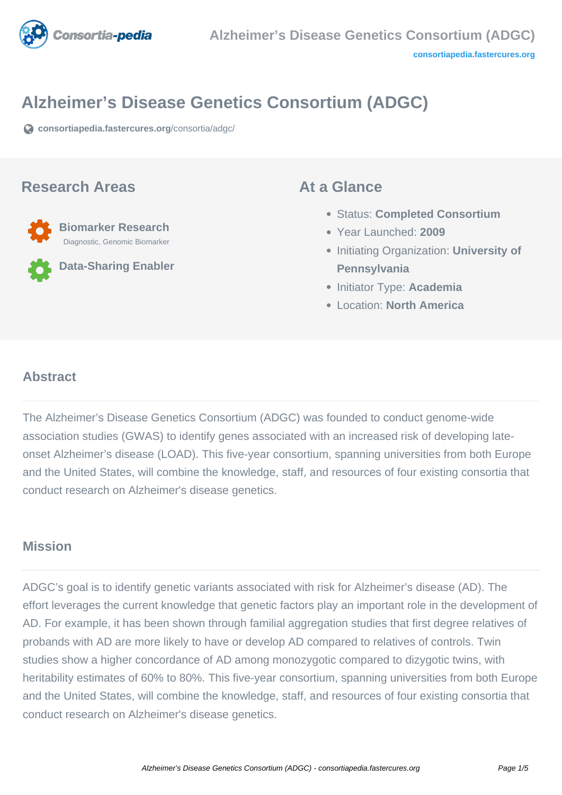

# **Alzheimer's Disease Genetics Consortium (ADGC)**

**[consortiapedia.fastercures.org](https://consortiapedia.fastercures.org/consortia/adgc/)**[/consortia/adgc/](https://consortiapedia.fastercures.org/consortia/adgc/)

#### **Research Areas**



**Data-Sharing Enabler**

#### **At a Glance**

- Status: **Completed Consortium**
- Year Launched: **2009**
- **Initiating Organization: University of Pennsylvania**
- Initiator Type: **Academia**
- Location: **North America**

#### $\overline{a}$ **Abstract**

The Alzheimer's Disease Genetics Consortium (ADGC) was founded to conduct genome-wide association studies (GWAS) to identify genes associated with an increased risk of developing lateonset Alzheimer's disease (LOAD). This five-year consortium, spanning universities from both Europe and the United States, will combine the knowledge, staff, and resources of four existing consortia that conduct research on Alzheimer's disease genetics.

#### **Mission**

ADGC's goal is to identify genetic variants associated with risk for Alzheimer's disease (AD). The effort leverages the current knowledge that genetic factors play an important role in the development of AD. For example, it has been shown through familial aggregation studies that first degree relatives of probands with AD are more likely to have or develop AD compared to relatives of controls. Twin studies show a higher concordance of AD among monozygotic compared to dizygotic twins, with heritability estimates of 60% to 80%. This five-year consortium, spanning universities from both Europe and the United States, will combine the knowledge, staff, and resources of four existing consortia that conduct research on Alzheimer's disease genetics.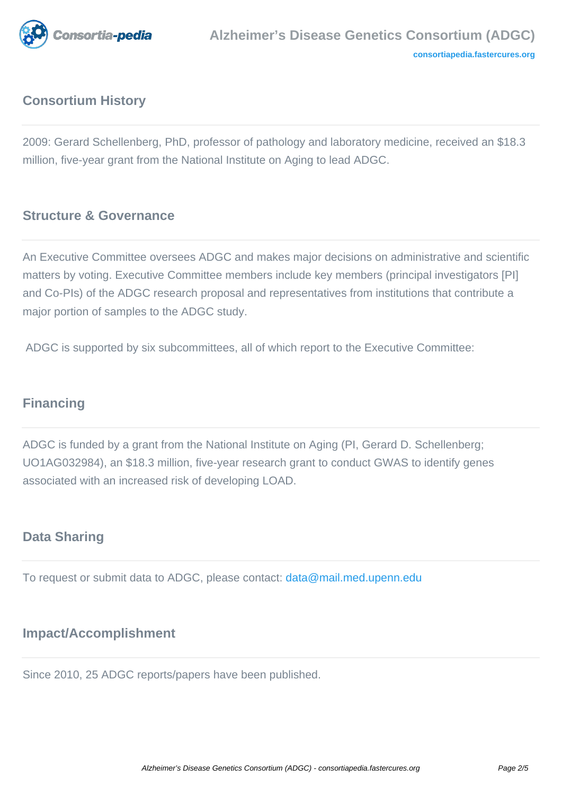

# **Consortium History**

2009: Gerard Schellenberg, PhD, professor of pathology and laboratory medicine, received an \$18.3 million, five-year grant from the National Institute on Aging to lead ADGC.

## **Structure & Governance**

An Executive Committee oversees ADGC and makes major decisions on administrative and scientific matters by voting. Executive Committee members include key members (principal investigators [PI] and Co-PIs) of the ADGC research proposal and representatives from institutions that contribute a major portion of samples to the ADGC study.

ADGC is supported by six subcommittees, all of which report to the Executive Committee:

## **Financing**

ADGC is funded by a grant from the National Institute on Aging (PI, Gerard D. Schellenberg; UO1AG032984), an \$18.3 million, five-year research grant to conduct GWAS to identify genes associated with an increased risk of developing LOAD.

## **Data Sharing**

To request or submit data to ADGC, please contact: [data@mail.med.upenn.edu](mailto:data@mail.med.upenn.edu)

## **Impact/Accomplishment**

Since 2010, 25 ADGC reports/papers have been published.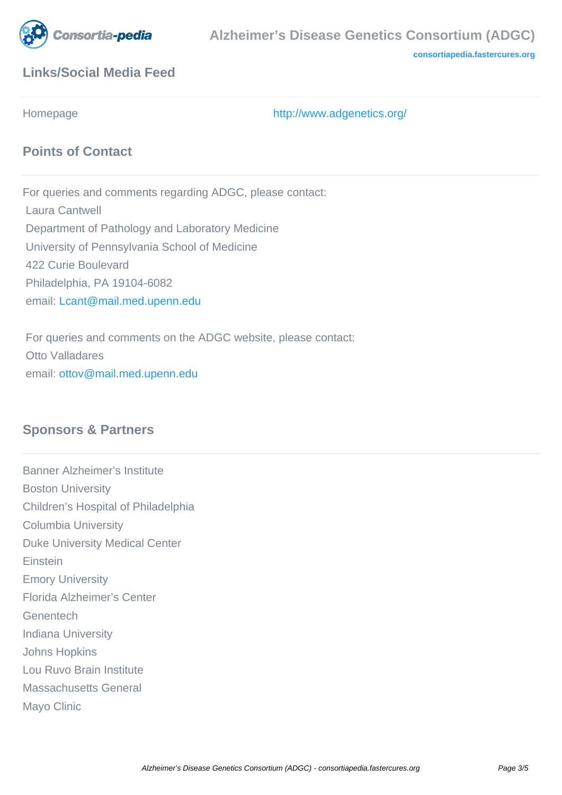

**[consortiapedia.fastercures.org](http://consortiapedia.fastercures.org/)**

## **Links/Social Media Feed**

Homepage <http://www.adgenetics.org/>

## **Points of Contact**

For queries and comments regarding ADGC, please contact: Laura Cantwell Department of Pathology and Laboratory Medicine University of Pennsylvania School of Medicine 422 Curie Boulevard Philadelphia, PA 19104-6082 email: [Lcant@mail.med.upenn.edu](mailto:Lcant@mail.med.upenn.edu)

 For queries and comments on the ADGC website, please contact: Otto Valladares email: [ottov@mail.med.upenn.edu](mailto:ottov@mail.med.upenn.edu)

#### **Sponsors & Partners**

Banner Alzheimer's Institute Boston University Children's Hospital of Philadelphia Columbia University Duke University Medical Center Einstein Emory University Florida Alzheimer's Center Genentech Indiana University Johns Hopkins Lou Ruvo Brain Institute Massachusetts General Mayo Clinic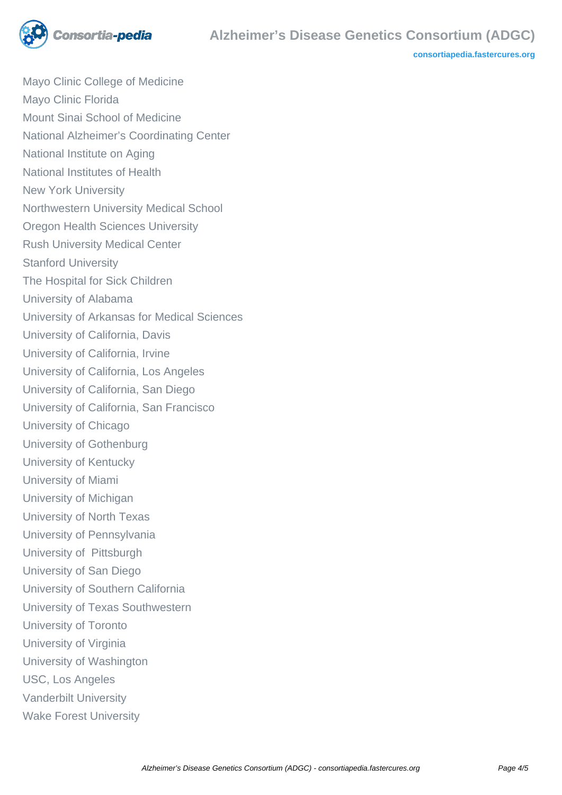

**[consortiapedia.fastercures.org](http://consortiapedia.fastercures.org/)**

Mayo Clinic College of Medicine Mayo Clinic Florida Mount Sinai School of Medicine National Alzheimer's Coordinating Center National Institute on Aging National Institutes of Health New York University Northwestern University Medical School Oregon Health Sciences University Rush University Medical Center Stanford University The Hospital for Sick Children University of Alabama University of Arkansas for Medical Sciences University of California, Davis University of California, Irvine University of California, Los Angeles University of California, San Diego University of California, San Francisco University of Chicago University of Gothenburg University of Kentucky University of Miami University of Michigan University of North Texas University of Pennsylvania University of Pittsburgh University of San Diego University of Southern California University of Texas Southwestern University of Toronto University of Virginia University of Washington USC, Los Angeles Vanderbilt University Wake Forest University